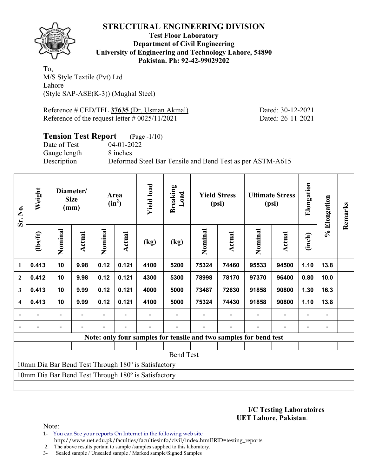

**Test Floor Laboratory Department of Civil Engineering University of Engineering and Technology Lahore, 54890 Pakistan. Ph: 92-42-99029202** 

To, M/S Style Textile (Pvt) Ltd Lahore (Style SAP-ASE(K-3)) (Mughal Steel)

Reference # CED/TFL **37635** (Dr. Usman Akmal) Dated: 30-12-2021 Reference of the request letter # 0025/11/2021 Dated: 26-11-2021

# **Tension Test Report** (Page -1/10) Date of Test 04-01-2022 Gauge length 8 inches Description Deformed Steel Bar Tensile and Bend Test as per ASTM-A615

| Sr. No.        | Weight         |         | Diameter/<br><b>Size</b><br>(mm) |         | Area<br>$(in^2)$ | <b>Yield load</b>                                   | <b>Breaking</b><br>Load |         | <b>Yield Stress</b><br>(psi)                                      |         | <b>Ultimate Stress</b><br>(psi) | Elongation               | % Elongation             | Remarks |
|----------------|----------------|---------|----------------------------------|---------|------------------|-----------------------------------------------------|-------------------------|---------|-------------------------------------------------------------------|---------|---------------------------------|--------------------------|--------------------------|---------|
|                | $\frac{2}{10}$ | Nominal | Actual                           | Nominal | <b>Actual</b>    | (kg)                                                | (kg)                    | Nominal | Actual                                                            | Nominal | Actual                          | (inch)                   |                          |         |
| $\mathbf{1}$   | 0.413          | 10      | 9.98                             | 0.12    | 0.121            | 4100                                                | 5200                    | 75324   | 74460                                                             | 95533   | 94500                           | 1.10                     | 13.8                     |         |
| $\overline{2}$ | 0.412          | 10      | 9.98                             | 0.12    | 0.121            | 4300                                                | 5300                    | 78998   | 78170                                                             | 97370   | 96400                           | 0.80                     | 10.0                     |         |
| 3              | 0.413          | 10      | 9.99                             | 0.12    | 0.121            | 4000                                                | 5000                    | 73487   | 72630                                                             | 91858   | 90800                           | 1.30                     | 16.3                     |         |
| 4              | 0.413          | 10      | 9.99                             | 0.12    | 0.121            | 4100                                                | 5000                    | 75324   | 74430                                                             | 91858   | 90800                           | 1.10                     | 13.8                     |         |
|                |                |         |                                  |         |                  |                                                     |                         |         |                                                                   |         |                                 | $\overline{\phantom{0}}$ |                          |         |
| $\blacksquare$ |                |         |                                  |         |                  |                                                     |                         |         |                                                                   |         | $\overline{\phantom{0}}$        | $\overline{\phantom{0}}$ | $\overline{\phantom{0}}$ |         |
|                |                |         |                                  |         |                  |                                                     |                         |         | Note: only four samples for tensile and two samples for bend test |         |                                 |                          |                          |         |
|                |                |         |                                  |         |                  |                                                     |                         |         |                                                                   |         |                                 |                          |                          |         |
|                |                |         |                                  |         |                  |                                                     | <b>Bend Test</b>        |         |                                                                   |         |                                 |                          |                          |         |
|                |                |         |                                  |         |                  | 10mm Dia Bar Bend Test Through 180° is Satisfactory |                         |         |                                                                   |         |                                 |                          |                          |         |
|                |                |         |                                  |         |                  | 10mm Dia Bar Bend Test Through 180° is Satisfactory |                         |         |                                                                   |         |                                 |                          |                          |         |
|                |                |         |                                  |         |                  |                                                     |                         |         |                                                                   |         |                                 |                          |                          |         |

**I/C Testing Laboratoires UET Lahore, Pakistan**.

- 1- You can See your reports On Internet in the following web site http://www.uet.edu.pk/faculties/facultiesinfo/civil/index.html?RID=testing\_reports
- 2. The above results pertain to sample /samples supplied to this laboratory.
- 3- Sealed sample / Unsealed sample / Marked sample/Signed Samples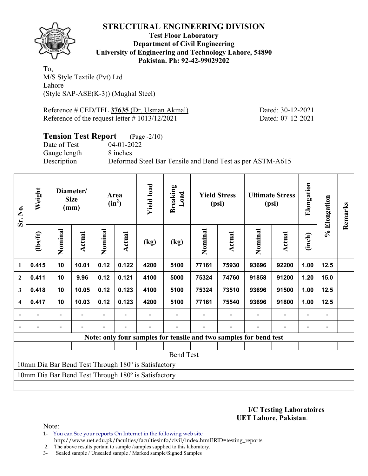

**Test Floor Laboratory Department of Civil Engineering University of Engineering and Technology Lahore, 54890 Pakistan. Ph: 92-42-99029202** 

To, M/S Style Textile (Pvt) Ltd Lahore (Style SAP-ASE(K-3)) (Mughal Steel)

Reference # CED/TFL **37635** (Dr. Usman Akmal) Dated: 30-12-2021 Reference of the request letter # 1013/12/2021 Dated: 07-12-2021

# **Tension Test Report** (Page -2/10) Date of Test 04-01-2022 Gauge length 8 inches Description Deformed Steel Bar Tensile and Bend Test as per ASTM-A615

| Sr. No.                  | Weight         |                          | Diameter/<br><b>Size</b><br>(mm) |         | Area<br>$(in^2)$ | <b>Yield load</b>                                   | <b>Breaking</b><br>Load                                           |         | <b>Yield Stress</b><br>(psi) |         | <b>Ultimate Stress</b><br>(psi) | Elongation               | % Elongation | Remarks |
|--------------------------|----------------|--------------------------|----------------------------------|---------|------------------|-----------------------------------------------------|-------------------------------------------------------------------|---------|------------------------------|---------|---------------------------------|--------------------------|--------------|---------|
|                          | $\frac{2}{10}$ | Nominal                  | Actual                           | Nominal | Actual           | (kg)                                                | (kg)                                                              | Nominal | Actual                       | Nominal | <b>Actual</b>                   | (inch)                   |              |         |
| $\mathbf{1}$             | 0.415          | 10                       | 10.01                            | 0.12    | 0.122            | 4200                                                | 5100                                                              | 77161   | 75930                        | 93696   | 92200                           | 1.00                     | 12.5         |         |
| $\mathbf{2}$             | 0.411          | 10                       | 9.96                             | 0.12    | 0.121            | 4100                                                | 5000                                                              | 75324   | 74760                        | 91858   | 91200                           | 1.20                     | 15.0         |         |
| 3                        | 0.418          | 10                       | 10.05                            | 0.12    | 0.123            | 4100                                                | 5100                                                              | 75324   | 73510                        | 93696   | 91500                           | 1.00                     | $12.5$       |         |
| $\overline{\mathbf{4}}$  | 0.417          | 10                       | 10.03                            | 0.12    | 0.123            | 4200                                                | 5100                                                              | 77161   | 75540                        | 93696   | 91800                           | 1.00                     | 12.5         |         |
|                          |                | $\overline{\phantom{0}}$ |                                  |         |                  |                                                     |                                                                   |         |                              |         |                                 | $\overline{\phantom{0}}$ |              |         |
| $\overline{\phantom{a}}$ |                | -                        |                                  |         |                  |                                                     |                                                                   |         |                              |         |                                 | $\overline{a}$           |              |         |
|                          |                |                          |                                  |         |                  |                                                     | Note: only four samples for tensile and two samples for bend test |         |                              |         |                                 |                          |              |         |
|                          |                |                          |                                  |         |                  |                                                     |                                                                   |         |                              |         |                                 |                          |              |         |
|                          |                |                          |                                  |         |                  |                                                     | <b>Bend Test</b>                                                  |         |                              |         |                                 |                          |              |         |
|                          |                |                          |                                  |         |                  | 10mm Dia Bar Bend Test Through 180° is Satisfactory |                                                                   |         |                              |         |                                 |                          |              |         |
|                          |                |                          |                                  |         |                  | 10mm Dia Bar Bend Test Through 180° is Satisfactory |                                                                   |         |                              |         |                                 |                          |              |         |
|                          |                |                          |                                  |         |                  |                                                     |                                                                   |         |                              |         |                                 |                          |              |         |

**I/C Testing Laboratoires UET Lahore, Pakistan**.

- 1- You can See your reports On Internet in the following web site http://www.uet.edu.pk/faculties/facultiesinfo/civil/index.html?RID=testing\_reports
- 2. The above results pertain to sample /samples supplied to this laboratory.
- 3- Sealed sample / Unsealed sample / Marked sample/Signed Samples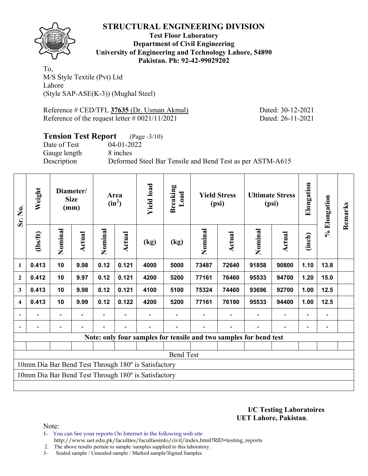

**Test Floor Laboratory Department of Civil Engineering University of Engineering and Technology Lahore, 54890 Pakistan. Ph: 92-42-99029202** 

To, M/S Style Textile (Pvt) Ltd Lahore (Style SAP-ASE(K-3)) (Mughal Steel)

Reference # CED/TFL **37635** (Dr. Usman Akmal) Dated: 30-12-2021 Reference of the request letter # 0021/11/2021 Dated: 26-11-2021

# **Tension Test Report** (Page -3/10) Date of Test 04-01-2022 Gauge length 8 inches Description Deformed Steel Bar Tensile and Bend Test as per ASTM-A615

| Sr. No.        | Weight   |         | Diameter/<br><b>Size</b><br>(mm) |         | Area<br>$(in^2)$ | <b>Yield load</b>                                   | <b>Breaking</b><br>Load |         | <b>Yield Stress</b><br>(psi)                                      |         | <b>Ultimate Stress</b><br>(psi) | Elongation     | % Elongation | Remarks |
|----------------|----------|---------|----------------------------------|---------|------------------|-----------------------------------------------------|-------------------------|---------|-------------------------------------------------------------------|---------|---------------------------------|----------------|--------------|---------|
|                | (1bs/ft) | Nominal | Actual                           | Nominal | Actual           | (kg)                                                | (kg)                    | Nominal | Actual                                                            | Nominal | <b>Actual</b>                   | (inch)         |              |         |
| 1              | 0.413    | 10      | 9.98                             | 0.12    | 0.121            | 4000                                                | 5000                    | 73487   | 72640                                                             | 91858   | 90800                           | 1.10           | 13.8         |         |
| $\overline{2}$ | 0.412    | 10      | 9.97                             | 0.12    | 0.121            | 4200                                                | 5200                    | 77161   | 76460                                                             | 95533   | 94700                           | 1.20           | 15.0         |         |
| 3              | 0.413    | 10      | 9.98                             | 0.12    | 0.121            | 4100                                                | 5100                    | 75324   | 74460                                                             | 93696   | 92700                           | 1.00           | 12.5         |         |
| 4              | 0.413    | 10      | 9.99                             | 0.12    | 0.122            | 4200                                                | 5200                    | 77161   | 76190                                                             | 95533   | 94400                           | 1.00           | 12.5         |         |
|                |          |         |                                  |         |                  |                                                     |                         |         |                                                                   |         | $\overline{a}$                  | $\blacksquare$ |              |         |
| $\blacksquare$ |          |         |                                  |         |                  |                                                     |                         |         |                                                                   |         |                                 |                |              |         |
|                |          |         |                                  |         |                  |                                                     |                         |         | Note: only four samples for tensile and two samples for bend test |         |                                 |                |              |         |
|                |          |         |                                  |         |                  |                                                     |                         |         |                                                                   |         |                                 |                |              |         |
|                |          |         |                                  |         |                  |                                                     | <b>Bend Test</b>        |         |                                                                   |         |                                 |                |              |         |
|                |          |         |                                  |         |                  | 10mm Dia Bar Bend Test Through 180° is Satisfactory |                         |         |                                                                   |         |                                 |                |              |         |
|                |          |         |                                  |         |                  | 10mm Dia Bar Bend Test Through 180° is Satisfactory |                         |         |                                                                   |         |                                 |                |              |         |
|                |          |         |                                  |         |                  |                                                     |                         |         |                                                                   |         |                                 |                |              |         |

**I/C Testing Laboratoires UET Lahore, Pakistan**.

- 1- You can See your reports On Internet in the following web site http://www.uet.edu.pk/faculties/facultiesinfo/civil/index.html?RID=testing\_reports
- 2. The above results pertain to sample /samples supplied to this laboratory.
- 3- Sealed sample / Unsealed sample / Marked sample/Signed Samples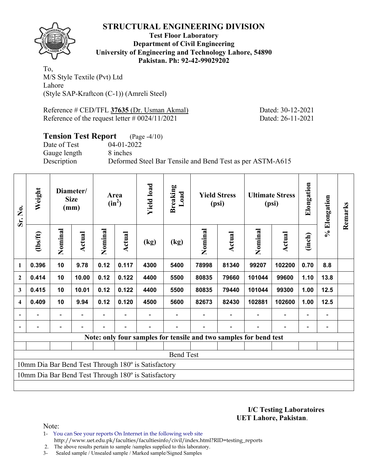

### **Test Floor Laboratory Department of Civil Engineering University of Engineering and Technology Lahore, 54890 Pakistan. Ph: 92-42-99029202**

To, M/S Style Textile (Pvt) Ltd Lahore (Style SAP-Kraftcon (C-1)) (Amreli Steel)

Reference # CED/TFL **37635** (Dr. Usman Akmal) Dated: 30-12-2021 Reference of the request letter # 0024/11/2021 Dated: 26-11-2021

# **Tension Test Report** (Page -4/10) Date of Test 04-01-2022 Gauge length 8 inches Description Deformed Steel Bar Tensile and Bend Test as per ASTM-A615

| Sr. No.                  | Weight         |                          | Diameter/<br><b>Size</b><br>(mm) |         | Area<br>$(in^2)$ | <b>Yield load</b>                                   | <b>Breaking</b><br>Load                                           |         | <b>Yield Stress</b><br>(psi) |         | <b>Ultimate Stress</b><br>(psi) | Elongation     | % Elongation | Remarks |
|--------------------------|----------------|--------------------------|----------------------------------|---------|------------------|-----------------------------------------------------|-------------------------------------------------------------------|---------|------------------------------|---------|---------------------------------|----------------|--------------|---------|
|                          | $\frac{2}{10}$ | Nominal                  | Actual                           | Nominal | Actual           | (kg)                                                | (kg)                                                              | Nominal | Actual                       | Nominal | Actual                          | (inch)         |              |         |
| $\mathbf{1}$             | 0.396          | 10                       | 9.78                             | 0.12    | 0.117            | 4300                                                | 5400                                                              | 78998   | 81340                        | 99207   | 102200                          | 0.70           | 8.8          |         |
| $\mathbf{2}$             | 0.414          | 10                       | 10.00                            | 0.12    | 0.122            | 4400                                                | 5500                                                              | 80835   | 79660                        | 101044  | 99600                           | 1.10           | 13.8         |         |
| 3                        | 0.415          | 10                       | 10.01                            | 0.12    | 0.122            | 4400                                                | 5500                                                              | 80835   | 79440                        | 101044  | 99300                           | 1.00           | $12.5$       |         |
| $\overline{\mathbf{4}}$  | 0.409          | 10                       | 9.94                             | 0.12    | 0.120            | 4500                                                | 5600                                                              | 82673   | 82430                        | 102881  | 102600                          | 1.00           | 12.5         |         |
|                          |                | $\overline{\phantom{0}}$ |                                  |         |                  |                                                     |                                                                   |         |                              |         |                                 | $\overline{a}$ |              |         |
| $\overline{\phantom{a}}$ |                |                          |                                  |         |                  |                                                     |                                                                   |         |                              |         |                                 | $\overline{a}$ |              |         |
|                          |                |                          |                                  |         |                  |                                                     | Note: only four samples for tensile and two samples for bend test |         |                              |         |                                 |                |              |         |
|                          |                |                          |                                  |         |                  |                                                     |                                                                   |         |                              |         |                                 |                |              |         |
|                          |                |                          |                                  |         |                  |                                                     | <b>Bend Test</b>                                                  |         |                              |         |                                 |                |              |         |
|                          |                |                          |                                  |         |                  | 10mm Dia Bar Bend Test Through 180° is Satisfactory |                                                                   |         |                              |         |                                 |                |              |         |
|                          |                |                          |                                  |         |                  | 10mm Dia Bar Bend Test Through 180° is Satisfactory |                                                                   |         |                              |         |                                 |                |              |         |
|                          |                |                          |                                  |         |                  |                                                     |                                                                   |         |                              |         |                                 |                |              |         |

**I/C Testing Laboratoires UET Lahore, Pakistan**.

- 1- You can See your reports On Internet in the following web site http://www.uet.edu.pk/faculties/facultiesinfo/civil/index.html?RID=testing\_reports
- 2. The above results pertain to sample /samples supplied to this laboratory.
- 3- Sealed sample / Unsealed sample / Marked sample/Signed Samples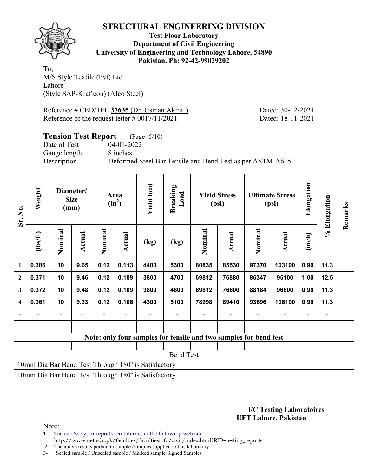

**Test Floor Laboratory Department of Civil Engineering University of Engineering and Technology Lahore, 54890 Pakistan. Ph: 92-42-99029202** 

To, M/S Style Textile (Pvt) Ltd Lahore (Style SAP-Kraftcon) (Afco Steel)

Reference # CED/TFL **37635** (Dr. Usman Akmal) Dated: 30-12-2021 Reference of the request letter # 0017/11/2021 Dated: 18-11-2021

# **Tension Test Report** (Page -5/10) Date of Test 04-01-2022 Gauge length 8 inches Description Deformed Steel Bar Tensile and Bend Test as per ASTM-A615

| Sr. No.                  | Weight   |                | Diameter/<br><b>Size</b><br>(mm) |         | Area<br>$(in^2)$ | <b>Yield load</b>                                   | <b>Breaking</b><br>Load                                           |         | <b>Yield Stress</b><br>(psi) |         | <b>Ultimate Stress</b><br>(psi) | Elongation     | % Elongation | Remarks |
|--------------------------|----------|----------------|----------------------------------|---------|------------------|-----------------------------------------------------|-------------------------------------------------------------------|---------|------------------------------|---------|---------------------------------|----------------|--------------|---------|
|                          | (1bs/ft) | Nominal        | Actual                           | Nominal | Actual           | (kg)                                                | $\left(\text{kg}\right)$                                          | Nominal | Actual                       | Nominal | <b>Actual</b>                   | (inch)         |              |         |
| 1                        | 0.386    | 10             | 9.65                             | 0.12    | 0.113            | 4400                                                | 5300                                                              | 80835   | 85530                        | 97370   | 103100                          | 0.90           | 11.3         |         |
| $\mathbf{2}$             | 0.371    | 10             | 9.46                             | 0.12    | 0.109            | 3800                                                | 4700                                                              | 69812   | 76880                        | 86347   | 95100                           | 1.00           | 12.5         |         |
| 3                        | 0.372    | 10             | 9.48                             | 0.12    | 0.109            | 3800                                                | 4800                                                              | 69812   | 76600                        | 88184   | 96800                           | 0.90           | 11.3         |         |
| $\overline{\mathbf{4}}$  | 0.361    | 10             | 9.33                             | 0.12    | 0.106            | 4300                                                | 5100                                                              | 78998   | 89410                        | 93696   | 106100                          | 0.90           | 11.3         |         |
|                          |          | $\blacksquare$ |                                  |         |                  |                                                     |                                                                   |         |                              |         |                                 | $\blacksquare$ |              |         |
| $\overline{\phantom{a}}$ |          |                |                                  |         |                  |                                                     |                                                                   |         |                              |         |                                 |                |              |         |
|                          |          |                |                                  |         |                  |                                                     | Note: only four samples for tensile and two samples for bend test |         |                              |         |                                 |                |              |         |
|                          |          |                |                                  |         |                  |                                                     |                                                                   |         |                              |         |                                 |                |              |         |
|                          |          |                |                                  |         |                  |                                                     | <b>Bend Test</b>                                                  |         |                              |         |                                 |                |              |         |
|                          |          |                |                                  |         |                  | 10mm Dia Bar Bend Test Through 180° is Satisfactory |                                                                   |         |                              |         |                                 |                |              |         |
|                          |          |                |                                  |         |                  | 10mm Dia Bar Bend Test Through 180° is Satisfactory |                                                                   |         |                              |         |                                 |                |              |         |
|                          |          |                |                                  |         |                  |                                                     |                                                                   |         |                              |         |                                 |                |              |         |

**I/C Testing Laboratoires UET Lahore, Pakistan**.

- 1- You can See your reports On Internet in the following web site http://www.uet.edu.pk/faculties/facultiesinfo/civil/index.html?RID=testing\_reports
- 2. The above results pertain to sample /samples supplied to this laboratory.
- 3- Sealed sample / Unsealed sample / Marked sample/Signed Samples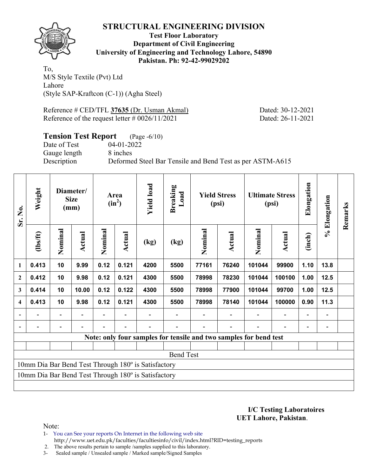

**Test Floor Laboratory Department of Civil Engineering University of Engineering and Technology Lahore, 54890 Pakistan. Ph: 92-42-99029202** 

To, M/S Style Textile (Pvt) Ltd Lahore (Style SAP-Kraftcon (C-1)) (Agha Steel)

Reference # CED/TFL **37635** (Dr. Usman Akmal) Dated: 30-12-2021 Reference of the request letter # 0026/11/2021 Dated: 26-11-2021

# **Tension Test Report** (Page -6/10) Date of Test 04-01-2022 Gauge length 8 inches Description Deformed Steel Bar Tensile and Bend Test as per ASTM-A615

| Sr. No.        | Weight   |         | Diameter/<br><b>Size</b><br>(mm) |         | Area<br>$(in^2)$ | <b>Yield load</b>                                   | <b>Breaking</b><br>Load |         | <b>Yield Stress</b><br>(psi) |                                                                   | <b>Ultimate Stress</b><br>(psi) | Elongation               | % Elongation             | Remarks |
|----------------|----------|---------|----------------------------------|---------|------------------|-----------------------------------------------------|-------------------------|---------|------------------------------|-------------------------------------------------------------------|---------------------------------|--------------------------|--------------------------|---------|
|                | (1bs/ft) | Nominal | Actual                           | Nominal | <b>Actual</b>    | (kg)                                                | (kg)                    | Nominal | Actual                       | Nominal                                                           | Actual                          | (inch)                   |                          |         |
| $\mathbf{1}$   | 0.413    | 10      | 9.99                             | 0.12    | 0.121            | 4200                                                | 5500                    | 77161   | 76240                        | 101044                                                            | 99900                           | 1.10                     | 13.8                     |         |
| $\overline{2}$ | 0.412    | 10      | 9.98                             | 0.12    | 0.121            | 4300                                                | 5500                    | 78998   | 78230                        | 101044                                                            | 100100                          | 1.00                     | 12.5                     |         |
| 3              | 0.414    | 10      | 10.00                            | 0.12    | 0.122            | 4300                                                | 5500                    | 78998   | 77900                        | 101044                                                            | 99700                           | 1.00                     | 12.5                     |         |
| 4              | 0.413    | 10      | 9.98                             | 0.12    | 0.121            | 4300                                                | 5500                    | 78998   | 78140                        | 101044                                                            | 100000                          | 0.90                     | 11.3                     |         |
|                |          |         |                                  |         |                  |                                                     |                         |         |                              |                                                                   |                                 | $\overline{\phantom{0}}$ |                          |         |
| $\blacksquare$ |          |         |                                  |         |                  |                                                     |                         |         |                              |                                                                   | $\overline{\phantom{0}}$        | $\overline{\phantom{0}}$ | $\overline{\phantom{0}}$ |         |
|                |          |         |                                  |         |                  |                                                     |                         |         |                              | Note: only four samples for tensile and two samples for bend test |                                 |                          |                          |         |
|                |          |         |                                  |         |                  |                                                     |                         |         |                              |                                                                   |                                 |                          |                          |         |
|                |          |         |                                  |         |                  |                                                     | <b>Bend Test</b>        |         |                              |                                                                   |                                 |                          |                          |         |
|                |          |         |                                  |         |                  | 10mm Dia Bar Bend Test Through 180° is Satisfactory |                         |         |                              |                                                                   |                                 |                          |                          |         |
|                |          |         |                                  |         |                  | 10mm Dia Bar Bend Test Through 180° is Satisfactory |                         |         |                              |                                                                   |                                 |                          |                          |         |
|                |          |         |                                  |         |                  |                                                     |                         |         |                              |                                                                   |                                 |                          |                          |         |

**I/C Testing Laboratoires UET Lahore, Pakistan**.

- 1- You can See your reports On Internet in the following web site http://www.uet.edu.pk/faculties/facultiesinfo/civil/index.html?RID=testing\_reports
- 2. The above results pertain to sample /samples supplied to this laboratory.
- 3- Sealed sample / Unsealed sample / Marked sample/Signed Samples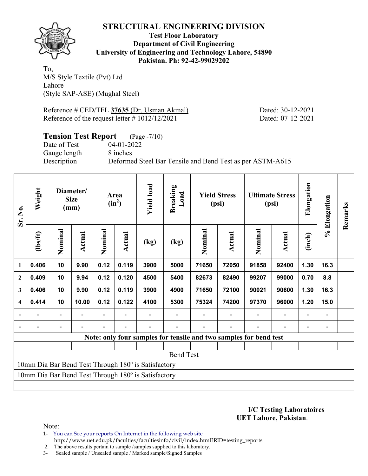

**Test Floor Laboratory Department of Civil Engineering University of Engineering and Technology Lahore, 54890 Pakistan. Ph: 92-42-99029202** 

To, M/S Style Textile (Pvt) Ltd Lahore (Style SAP-ASE) (Mughal Steel)

Reference # CED/TFL **37635** (Dr. Usman Akmal) Dated: 30-12-2021 Reference of the request letter # 1012/12/2021 Dated: 07-12-2021

# **Tension Test Report** (Page -7/10) Date of Test 04-01-2022 Gauge length 8 inches Description Deformed Steel Bar Tensile and Bend Test as per ASTM-A615

| Sr. No.        | Weight   |         | Diameter/<br><b>Size</b><br>(mm) |         | Area<br>$(in^2)$ | <b>Yield load</b>                                   | Breaking<br>Load         |         | <b>Yield Stress</b><br>(psi)                                      |         | <b>Ultimate Stress</b><br>(psi) | Elongation               | % Elongation | Remarks |
|----------------|----------|---------|----------------------------------|---------|------------------|-----------------------------------------------------|--------------------------|---------|-------------------------------------------------------------------|---------|---------------------------------|--------------------------|--------------|---------|
|                | (1bs/ft) | Nominal | Actual                           | Nominal | <b>Actual</b>    | (kg)                                                | $\left(\text{kg}\right)$ | Nominal | Actual                                                            | Nominal | <b>Actual</b>                   | (inch)                   |              |         |
| 1              | 0.406    | 10      | 9.90                             | 0.12    | 0.119            | 3900                                                | 5000                     | 71650   | 72050                                                             | 91858   | 92400                           | 1.30                     | 16.3         |         |
| $\overline{2}$ | 0.409    | 10      | 9.94                             | 0.12    | 0.120            | 4500                                                | 5400                     | 82673   | 82490                                                             | 99207   | 99000                           | 0.70                     | 8.8          |         |
| 3              | 0.406    | 10      | 9.90                             | 0.12    | 0.119            | 3900                                                | 4900                     | 71650   | 72100                                                             | 90021   | 90600                           | 1.30                     | 16.3         |         |
| 4              | 0.414    | 10      | 10.00                            | 0.12    | 0.122            | 4100                                                | 5300                     | 75324   | 74200                                                             | 97370   | 96000                           | 1.20                     | 15.0         |         |
|                |          |         |                                  |         |                  |                                                     |                          |         |                                                                   |         | $\overline{\phantom{0}}$        | $\overline{\phantom{0}}$ |              |         |
| $\blacksquare$ |          |         |                                  |         |                  |                                                     |                          |         |                                                                   |         |                                 | $\overline{\phantom{0}}$ |              |         |
|                |          |         |                                  |         |                  |                                                     |                          |         | Note: only four samples for tensile and two samples for bend test |         |                                 |                          |              |         |
|                |          |         |                                  |         |                  |                                                     |                          |         |                                                                   |         |                                 |                          |              |         |
|                |          |         |                                  |         |                  |                                                     | <b>Bend Test</b>         |         |                                                                   |         |                                 |                          |              |         |
|                |          |         |                                  |         |                  | 10mm Dia Bar Bend Test Through 180° is Satisfactory |                          |         |                                                                   |         |                                 |                          |              |         |
|                |          |         |                                  |         |                  | 10mm Dia Bar Bend Test Through 180° is Satisfactory |                          |         |                                                                   |         |                                 |                          |              |         |
|                |          |         |                                  |         |                  |                                                     |                          |         |                                                                   |         |                                 |                          |              |         |

**I/C Testing Laboratoires UET Lahore, Pakistan**.

- 1- You can See your reports On Internet in the following web site http://www.uet.edu.pk/faculties/facultiesinfo/civil/index.html?RID=testing\_reports
- 2. The above results pertain to sample /samples supplied to this laboratory.
- 3- Sealed sample / Unsealed sample / Marked sample/Signed Samples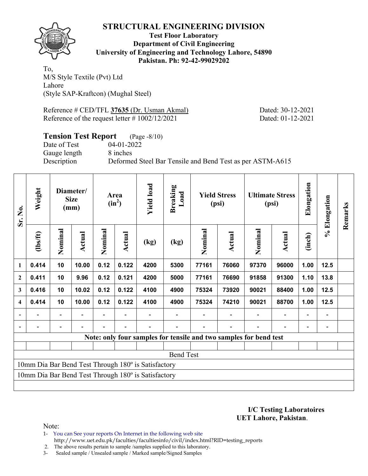

**Test Floor Laboratory Department of Civil Engineering University of Engineering and Technology Lahore, 54890 Pakistan. Ph: 92-42-99029202** 

To, M/S Style Textile (Pvt) Ltd Lahore (Style SAP-Kraftcon) (Mughal Steel)

Reference # CED/TFL **37635** (Dr. Usman Akmal) Dated: 30-12-2021 Reference of the request letter # 1002/12/2021 Dated: 01-12-2021

# **Tension Test Report** (Page -8/10) Date of Test 04-01-2022 Gauge length 8 inches Description Deformed Steel Bar Tensile and Bend Test as per ASTM-A615

| Sr. No.        | Weight         |         | Diameter/<br><b>Size</b><br>(mm) |         | Area<br>$(in^2)$ | <b>Yield load</b>                                   | Breaking<br>Load                                                  |         | <b>Yield Stress</b><br>(psi) |         | <b>Ultimate Stress</b><br>(psi) | Elongation               | % Elongation | Remarks |
|----------------|----------------|---------|----------------------------------|---------|------------------|-----------------------------------------------------|-------------------------------------------------------------------|---------|------------------------------|---------|---------------------------------|--------------------------|--------------|---------|
|                | $\frac{2}{10}$ | Nominal | Actual                           | Nominal | <b>Actual</b>    | (kg)                                                | $\left(\text{kg}\right)$                                          | Nominal | Actual                       | Nominal | <b>Actual</b>                   | (inch)                   |              |         |
| 1              | 0.414          | 10      | 10.00                            | 0.12    | 0.122            | 4200                                                | 5300                                                              | 77161   | 76060                        | 97370   | 96000                           | 1.00                     | 12.5         |         |
| $\overline{2}$ | 0.411          | 10      | 9.96                             | 0.12    | 0.121            | 4200                                                | 5000                                                              | 77161   | 76690                        | 91858   | 91300                           | 1.10                     | 13.8         |         |
| 3              | 0.416          | 10      | 10.02                            | 0.12    | 0.122            | 4100                                                | 4900                                                              | 75324   | 73920                        | 90021   | 88400                           | 1.00                     | 12.5         |         |
| 4              | 0.414          | 10      | 10.00                            | 0.12    | 0.122            | 4100                                                | 4900                                                              | 75324   | 74210                        | 90021   | 88700                           | 1.00                     | 12.5         |         |
|                |                |         |                                  |         |                  |                                                     |                                                                   |         |                              |         | $\overline{\phantom{0}}$        | $\overline{\phantom{0}}$ |              |         |
| $\blacksquare$ |                |         |                                  |         |                  |                                                     |                                                                   |         |                              |         |                                 | $\overline{\phantom{0}}$ |              |         |
|                |                |         |                                  |         |                  |                                                     | Note: only four samples for tensile and two samples for bend test |         |                              |         |                                 |                          |              |         |
|                |                |         |                                  |         |                  |                                                     |                                                                   |         |                              |         |                                 |                          |              |         |
|                |                |         |                                  |         |                  |                                                     | <b>Bend Test</b>                                                  |         |                              |         |                                 |                          |              |         |
|                |                |         |                                  |         |                  | 10mm Dia Bar Bend Test Through 180° is Satisfactory |                                                                   |         |                              |         |                                 |                          |              |         |
|                |                |         |                                  |         |                  | 10mm Dia Bar Bend Test Through 180° is Satisfactory |                                                                   |         |                              |         |                                 |                          |              |         |
|                |                |         |                                  |         |                  |                                                     |                                                                   |         |                              |         |                                 |                          |              |         |

**I/C Testing Laboratoires UET Lahore, Pakistan**.

- 1- You can See your reports On Internet in the following web site http://www.uet.edu.pk/faculties/facultiesinfo/civil/index.html?RID=testing\_reports
- 2. The above results pertain to sample /samples supplied to this laboratory.
- 3- Sealed sample / Unsealed sample / Marked sample/Signed Samples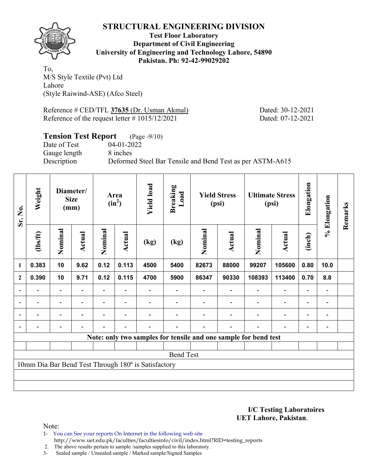

**Test Floor Laboratory Department of Civil Engineering University of Engineering and Technology Lahore, 54890 Pakistan. Ph: 92-42-99029202** 

To, M/S Style Textile (Pvt) Ltd Lahore (Style Raiwind-ASE) (Afco Steel)

Reference # CED/TFL **37635** (Dr. Usman Akmal) Dated: 30-12-2021 Reference of the request letter # 1015/12/2021 Dated: 07-12-2021

# **Tension Test Report** (Page -9/10) Date of Test 04-01-2022 Gauge length 8 inches Description Deformed Steel Bar Tensile and Bend Test as per ASTM-A615

| Sr. No.                  | Weight         |                          | Diameter/<br><b>Size</b><br>(mm) |         | Area<br>$(in^2)$         | <b>Yield load</b>                                   | <b>Breaking</b><br>Load                                         |         | <b>Yield Stress</b><br>(psi) |                          | <b>Ultimate Stress</b><br>(psi) | Elongation               | % Elongation   | Remarks |
|--------------------------|----------------|--------------------------|----------------------------------|---------|--------------------------|-----------------------------------------------------|-----------------------------------------------------------------|---------|------------------------------|--------------------------|---------------------------------|--------------------------|----------------|---------|
|                          | $\frac{2}{10}$ | Nominal                  | <b>Actual</b>                    | Nominal | Actual                   | (kg)                                                | (kg)                                                            | Nominal | <b>Actual</b>                | Nominal                  | <b>Actual</b>                   | (inch)                   |                |         |
| $\mathbf{1}$             | 0.383          | 10                       | 9.62                             | 0.12    | 0.113                    | 4500                                                | 5400                                                            | 82673   | 88000                        | 99207                    | 105600                          | 0.80                     | 10.0           |         |
| $\mathbf{2}$             | 0.390          | 10                       | 9.71                             | 0.12    | 0.115                    | 4700                                                | 5900                                                            | 86347   | 90330                        | 108393                   | 113400                          | 0.70                     | 8.8            |         |
| $\overline{\phantom{0}}$ |                |                          |                                  |         |                          |                                                     |                                                                 |         |                              |                          |                                 |                          |                |         |
| $\overline{\phantom{a}}$ | $\blacksquare$ | $\overline{\phantom{a}}$ |                                  |         | $\overline{\phantom{0}}$ |                                                     |                                                                 |         |                              | $\overline{\phantom{0}}$ | $\overline{a}$                  | $\overline{\phantom{0}}$ | $\blacksquare$ |         |
| $\blacksquare$           | $\blacksquare$ | $\overline{\phantom{0}}$ |                                  |         | $\blacksquare$           |                                                     |                                                                 |         |                              |                          | $\blacksquare$                  | $\overline{\phantom{a}}$ |                |         |
|                          |                |                          |                                  |         | $\overline{\phantom{0}}$ |                                                     |                                                                 |         |                              |                          | $\overline{\phantom{0}}$        | $\overline{\phantom{0}}$ |                |         |
|                          |                |                          |                                  |         |                          |                                                     | Note: only two samples for tensile and one sample for bend test |         |                              |                          |                                 |                          |                |         |
|                          |                |                          |                                  |         |                          |                                                     |                                                                 |         |                              |                          |                                 |                          |                |         |
|                          |                |                          |                                  |         |                          |                                                     | <b>Bend Test</b>                                                |         |                              |                          |                                 |                          |                |         |
|                          |                |                          |                                  |         |                          | 10mm Dia Bar Bend Test Through 180° is Satisfactory |                                                                 |         |                              |                          |                                 |                          |                |         |
|                          |                |                          |                                  |         |                          |                                                     |                                                                 |         |                              |                          |                                 |                          |                |         |
|                          |                |                          |                                  |         |                          |                                                     |                                                                 |         |                              |                          |                                 |                          |                |         |

**I/C Testing Laboratoires UET Lahore, Pakistan**.

Note:

1- You can See your reports On Internet in the following web site http://www.uet.edu.pk/faculties/facultiesinfo/civil/index.html?RID=testing\_reports

2. The above results pertain to sample /samples supplied to this laboratory.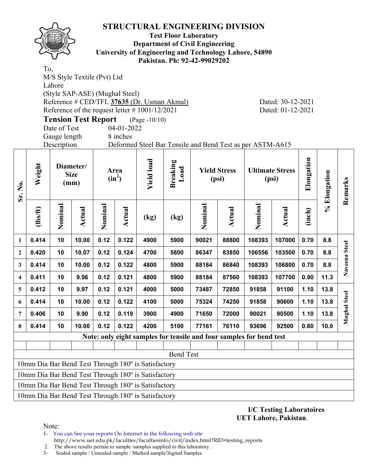

#### **Test Floor Laboratory Department of Civil Engineering University of Engineering and Technology Lahore, 54890 Pakistan. Ph: 92-42-99029202**

To, M/S Style Textile (Pvt) Ltd Lahore (Style SAP-ASE) (Mughal Steel) Reference # CED/TFL **37635** (Dr. Usman Akmal) Dated: 30-12-2021 Reference of the request letter # 1001/12/2021 Dated: 01-12-2021

**Tension Test Report** (Page -10/10)

Date of Test 04-01-2022 Gauge length 8 inches

Description Deformed Steel Bar Tensile and Bend Test as per ASTM-A615

| Sr. No.                 | Weight  |         | Diameter/<br><b>Size</b><br>(mm) |         | Area<br>$(in^2)$ | <b>Yield load</b>                                   | <b>Breaking</b><br>Load                            |                                                                     | <b>Yield Stress</b><br>(psi) |         | <b>Ultimate Stress</b><br>(psi) | Elongation | % Elongation | Remarks             |  |
|-------------------------|---------|---------|----------------------------------|---------|------------------|-----------------------------------------------------|----------------------------------------------------|---------------------------------------------------------------------|------------------------------|---------|---------------------------------|------------|--------------|---------------------|--|
|                         | $lbsft$ | Nominal | Actual                           | Nominal | Actual           | (kg)                                                | (kg)                                               | Nominal                                                             | <b>Actual</b>                | Nominal | Actual                          | (inch)     |              |                     |  |
| 1                       | 0.414   | 10      | 10.00                            | 0.12    | 0.122            | 4900                                                | 5900                                               | 90021                                                               | 88800                        | 108393  | 107000                          | 0.70       | 8.8          |                     |  |
| $\mathbf{2}$            | 0.420   | 10      | 10.07                            | 0.12    | 0.124            | 4700                                                | 5800                                               | 86347                                                               | 83850                        | 106556  | 103500                          | 0.70       | 8.8          | Naveena Steel       |  |
| 3                       | 0.414   | 10      | 10.00                            | 0.12    | 0.122            | 4800                                                | 5900                                               | 88184                                                               | 86840                        | 108393  | 106800                          | 0.70       | 8.8          |                     |  |
| $\overline{\mathbf{4}}$ | 0.411   | 10      | 9.96                             | 0.12    | 0.121            | 4800                                                | 87560<br>108393<br>107700<br>0.90<br>5900<br>88184 |                                                                     |                              |         |                                 |            |              |                     |  |
| 5                       | 0.412   | 10      | 9.97                             | 0.12    | 0.121            | 4000                                                | 5000                                               | 73487                                                               | 72850                        | 91858   | 91100                           | 1.10       | 13.8         |                     |  |
| 6                       | 0.414   | 10      | 10.00                            | 0.12    | 0.122            | 4100                                                | 5000                                               | 75324                                                               | 74250                        | 91858   | 90600                           | 1.10       | 13.8         | <b>Mughal Steel</b> |  |
| 7                       | 0.406   | 10      | 9.90                             | 0.12    | 0.119            | 3900                                                | 4900                                               | 71650                                                               | 72000                        | 90021   | 90500                           | 1.10       | 13.8         |                     |  |
| 8                       | 0.414   | 10      | 10.00                            | 0.12    | 0.122            | 4200                                                | 5100                                               | 77161                                                               | 76110                        | 93696   | 92500                           | 0.80       | 10.0         |                     |  |
|                         |         |         |                                  |         |                  |                                                     |                                                    | Note: only eight samples for tensile and four samples for bend test |                              |         |                                 |            |              |                     |  |
|                         |         |         |                                  |         |                  |                                                     |                                                    |                                                                     |                              |         |                                 |            |              |                     |  |
|                         |         |         |                                  |         |                  |                                                     | <b>Bend Test</b>                                   |                                                                     |                              |         |                                 |            |              |                     |  |
|                         |         |         |                                  |         |                  | 10mm Dia Bar Bend Test Through 180° is Satisfactory |                                                    |                                                                     |                              |         |                                 |            |              |                     |  |
|                         |         |         |                                  |         |                  | 10mm Dia Bar Bend Test Through 180° is Satisfactory |                                                    |                                                                     |                              |         |                                 |            |              |                     |  |
|                         |         |         |                                  |         |                  | 10mm Dia Bar Bend Test Through 180° is Satisfactory |                                                    |                                                                     |                              |         |                                 |            |              |                     |  |
|                         |         |         |                                  |         |                  | 10mm Dia Bar Bend Test Through 180° is Satisfactory |                                                    |                                                                     |                              |         |                                 |            |              |                     |  |

**I/C Testing Laboratoires UET Lahore, Pakistan**.

Note:

1- You can See your reports On Internet in the following web site

http://www.uet.edu.pk/faculties/facultiesinfo/civil/index.html?RID=testing\_reports

2. The above results pertain to sample /samples supplied to this laboratory.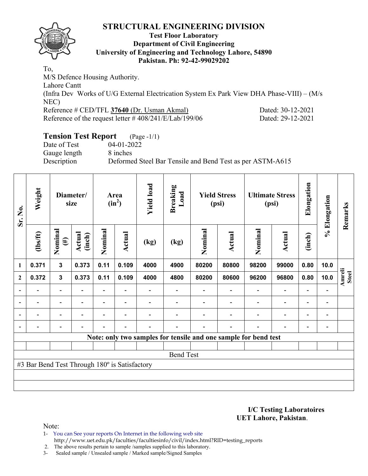

### **Test Floor Laboratory Department of Civil Engineering University of Engineering and Technology Lahore, 54890 Pakistan. Ph: 92-42-99029202**

To, M/S Defence Housing Authority. Lahore Cantt (Infra Dev Works of U/G External Electrication System Ex Park View DHA Phase-VIII) – (M/s NEC) Reference # CED/TFL **37640** (Dr. Usman Akmal) Dated: 30-12-2021 Reference of the request letter # 408/241/E/Lab/199/06 Dated: 29-12-2021

# **Tension Test Report** (Page -1/1)

Date of Test 04-01-2022 Gauge length 8 inches

Description Deformed Steel Bar Tensile and Bend Test as per ASTM-A615

| Sr. No.                  | Weight                                        |                          | Diameter/<br>size        |                | Area<br>$(in^2)$         | <b>Yield load</b> | <b>Breaking</b><br>Load |         | <b>Yield Stress</b><br>(psi)                                    |                | <b>Ultimate Stress</b><br>(psi) | Elongation               | % Elongation             | Remarks                |
|--------------------------|-----------------------------------------------|--------------------------|--------------------------|----------------|--------------------------|-------------------|-------------------------|---------|-----------------------------------------------------------------|----------------|---------------------------------|--------------------------|--------------------------|------------------------|
|                          | $\frac{2}{10}$                                | Nominal<br>$(\#)$        | Actual<br>(inch)         | Nominal        | <b>Actual</b>            | (kg)              | (kg)                    | Nominal | <b>Actual</b>                                                   | Nominal        | <b>Actual</b>                   | (inch)                   |                          |                        |
| $\mathbf{1}$             | 0.371                                         | $\overline{\mathbf{3}}$  | 0.373                    | 0.11           | 0.109                    | 4000              | 4900                    | 80200   | 80800                                                           | 98200          | 99000                           | 0.80                     | 10.0                     |                        |
| $\mathbf{2}$             | 0.372                                         | $\mathbf{3}$             | 0.373                    | 0.11           | 0.109                    | 4000              | 4800                    | 80200   | 80600                                                           | 96200          | 96800                           | 0.80                     | 10.0                     | Amreli<br><b>Steel</b> |
|                          |                                               | $\overline{\phantom{0}}$ |                          |                |                          |                   |                         |         |                                                                 |                | $\overline{\phantom{0}}$        |                          |                          |                        |
| $\overline{\phantom{0}}$ | -                                             | $\overline{\phantom{a}}$ |                          |                | $\overline{\phantom{0}}$ |                   |                         |         |                                                                 |                | $\overline{\phantom{0}}$        | $\overline{\phantom{0}}$ | $\overline{\phantom{a}}$ |                        |
| $\blacksquare$           | -                                             | $\overline{\phantom{a}}$ | $\overline{\phantom{a}}$ | $\blacksquare$ | $\blacksquare$           |                   |                         |         |                                                                 | $\blacksquare$ | $\blacksquare$                  | $\overline{\phantom{0}}$ | $\overline{\phantom{a}}$ |                        |
|                          | $\blacksquare$                                | $\overline{\phantom{0}}$ |                          |                | $\blacksquare$           |                   |                         |         | $\blacksquare$                                                  | $\blacksquare$ | $\overline{\phantom{0}}$        | $\overline{\phantom{0}}$ |                          |                        |
|                          |                                               |                          |                          |                |                          |                   |                         |         | Note: only two samples for tensile and one sample for bend test |                |                                 |                          |                          |                        |
|                          |                                               |                          |                          |                |                          |                   |                         |         |                                                                 |                |                                 |                          |                          |                        |
|                          |                                               |                          |                          |                |                          |                   | <b>Bend Test</b>        |         |                                                                 |                |                                 |                          |                          |                        |
|                          | #3 Bar Bend Test Through 180° is Satisfactory |                          |                          |                |                          |                   |                         |         |                                                                 |                |                                 |                          |                          |                        |
|                          |                                               |                          |                          |                |                          |                   |                         |         |                                                                 |                |                                 |                          |                          |                        |
|                          |                                               |                          |                          |                |                          |                   |                         |         |                                                                 |                |                                 |                          |                          |                        |

**I/C Testing Laboratoires UET Lahore, Pakistan**.

Note:

1- You can See your reports On Internet in the following web site http://www.uet.edu.pk/faculties/facultiesinfo/civil/index.html?RID=testing\_reports

2. The above results pertain to sample /samples supplied to this laboratory.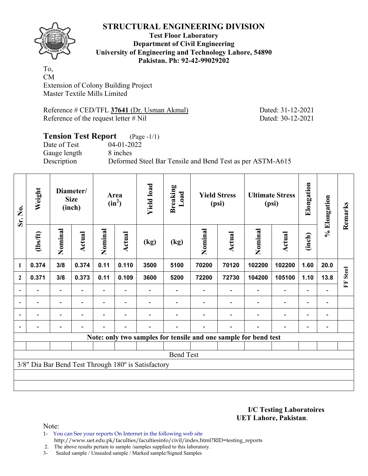

### **Test Floor Laboratory Department of Civil Engineering University of Engineering and Technology Lahore, 54890 Pakistan. Ph: 92-42-99029202**

To, CM Extension of Colony Building Project Master Textile Mills Limited

Reference # CED/TFL 37641 (Dr. Usman Akmal) Dated: 31-12-2021 Reference of the request letter # Nil Dated: 30-12-2021

### **Tension Test Report** (Page -1/1) Date of Test 04-01-2022 Gauge length 8 inches Description Deformed Steel Bar Tensile and Bend Test as per ASTM-A615

| Sr. No.        | Weight         |                          | Diameter/<br><b>Size</b><br>(inch) |         | Area<br>$(in^2)$         | <b>Yield load</b>                                   | <b>Breaking</b><br>Load |         | <b>Yield Stress</b><br>(psi) |                                                                 | <b>Ultimate Stress</b><br>(psi) | Elongation               | % Elongation   | Remarks      |
|----------------|----------------|--------------------------|------------------------------------|---------|--------------------------|-----------------------------------------------------|-------------------------|---------|------------------------------|-----------------------------------------------------------------|---------------------------------|--------------------------|----------------|--------------|
|                | (1bs/ft)       | Nominal                  | Actual                             | Nominal | <b>Actual</b>            | (kg)                                                | (kg)                    | Nominal | Actual                       | Nominal                                                         | <b>Actual</b>                   | (inch)                   |                |              |
| $\mathbf{1}$   | 0.374          | 3/8                      | 0.374                              | 0.11    | 0.110                    | 3500                                                | 5100                    | 70200   | 70120                        | 102200                                                          | 102200                          | 1.60                     | 20.0           |              |
| $\overline{2}$ | 0.371          | 3/8                      | 0.373                              | 0.11    | 0.109                    | 3600                                                | 5200                    | 72200   | 72730                        | 104200                                                          | 105100                          | 1.10                     | 13.8           | <b>Steel</b> |
| $\blacksquare$ | Ξ.             | $\overline{\phantom{a}}$ | ۰                                  |         | $\overline{\phantom{0}}$ |                                                     |                         |         | $\overline{\phantom{a}}$     | $\overline{\phantom{a}}$                                        | $\overline{\phantom{a}}$        | $\overline{\phantom{a}}$ |                | E            |
| $\blacksquare$ | $\blacksquare$ | $\overline{\phantom{0}}$ | ۰                                  |         | $\blacksquare$           |                                                     |                         |         | $\overline{\phantom{0}}$     | $\blacksquare$                                                  | $\overline{\phantom{0}}$        | $\overline{\phantom{a}}$ | $\blacksquare$ |              |
|                | $\blacksquare$ | $\overline{\phantom{0}}$ | $\overline{a}$                     |         | $\blacksquare$           |                                                     |                         |         | $\blacksquare$               | ÷                                                               | $\overline{\phantom{0}}$        | $\overline{\phantom{a}}$ | $\blacksquare$ |              |
|                |                |                          |                                    |         |                          |                                                     |                         |         |                              |                                                                 | $\overline{\phantom{0}}$        | $\blacksquare$           |                |              |
|                |                |                          |                                    |         |                          |                                                     |                         |         |                              | Note: only two samples for tensile and one sample for bend test |                                 |                          |                |              |
|                |                |                          |                                    |         |                          |                                                     |                         |         |                              |                                                                 |                                 |                          |                |              |
|                |                |                          |                                    |         |                          |                                                     | <b>Bend Test</b>        |         |                              |                                                                 |                                 |                          |                |              |
|                |                |                          |                                    |         |                          | 3/8" Dia Bar Bend Test Through 180° is Satisfactory |                         |         |                              |                                                                 |                                 |                          |                |              |
|                |                |                          |                                    |         |                          |                                                     |                         |         |                              |                                                                 |                                 |                          |                |              |
|                |                |                          |                                    |         |                          |                                                     |                         |         |                              |                                                                 |                                 |                          |                |              |

**I/C Testing Laboratoires UET Lahore, Pakistan**.

Note:

1- You can See your reports On Internet in the following web site http://www.uet.edu.pk/faculties/facultiesinfo/civil/index.html?RID=testing\_reports

2. The above results pertain to sample /samples supplied to this laboratory.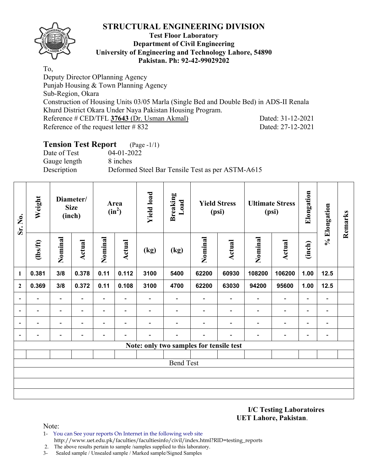

### **Test Floor Laboratory Department of Civil Engineering University of Engineering and Technology Lahore, 54890 Pakistan. Ph: 92-42-99029202**

To,

Deputy Director OPlanning Agency Punjab Housing & Town Planning Agency Sub-Region, Okara Construction of Housing Units 03/05 Marla (Single Bed and Double Bed) in ADS-II Renala Khurd District Okara Under Naya Pakistan Housing Program. Reference # CED/TFL **37643** (Dr. Usman Akmal) Dated: 31-12-2021 Reference of the request letter # 832 Dated: 27-12-2021

# **Tension Test Report** (Page -1/1)

Date of Test 04-01-2022 Gauge length 8 inches

Description Deformed Steel Bar Tensile Test as per ASTM-A615

| Sr. No.                  | Weight                   | Diameter/<br><b>Size</b><br>(inch) |                          | Area<br>$(in^2)$         |                          | <b>Yield load</b>        | <b>Breaking</b><br>Load  | <b>Yield Stress</b><br>(psi)            |                          | <b>Ultimate Stress</b><br>(psi) |                          | Elongation               | % Elongation             | Remarks |
|--------------------------|--------------------------|------------------------------------|--------------------------|--------------------------|--------------------------|--------------------------|--------------------------|-----------------------------------------|--------------------------|---------------------------------|--------------------------|--------------------------|--------------------------|---------|
|                          | (lbs/ft)                 | Nominal                            | <b>Actual</b>            | Nominal                  | <b>Actual</b>            | (kg)                     | (kg)                     | Nominal                                 | <b>Actual</b>            | Nominal                         | <b>Actual</b>            | (inch)                   |                          |         |
| $\mathbf{1}$             | 0.381                    | 3/8                                | 0.378                    | 0.11                     | 0.112                    | 3100                     | 5400                     | 62200                                   | 60930                    | 108200                          | 106200                   | 1.00                     | 12.5                     |         |
| $\overline{2}$           | 0.369                    | 3/8                                | 0.372                    | 0.11                     | 0.108                    | 3100                     | 4700                     | 62200                                   | 63030                    | 94200                           | 95600                    | 1.00                     | 12.5                     |         |
| $\blacksquare$           | $\blacksquare$           | $\overline{\phantom{a}}$           | $\blacksquare$           | $\overline{\phantom{a}}$ | $\overline{\phantom{a}}$ | $\overline{a}$           | $\overline{\phantom{0}}$ | $\overline{\phantom{a}}$                | $\overline{\phantom{a}}$ | $\overline{\phantom{a}}$        | $\overline{\phantom{a}}$ | $\overline{\phantom{a}}$ | $\overline{\phantom{a}}$ |         |
| $\overline{\phantom{a}}$ |                          | $\overline{\phantom{0}}$           |                          | $\overline{\phantom{0}}$ | $\overline{\phantom{a}}$ | $\overline{\phantom{0}}$ | -                        |                                         |                          | $\overline{\phantom{0}}$        | $\overline{\phantom{a}}$ | $\overline{\phantom{0}}$ | $\overline{\phantom{a}}$ |         |
| $\overline{\phantom{a}}$ | $\overline{\phantom{0}}$ | $\overline{\phantom{0}}$           | $\overline{\phantom{0}}$ | $\qquad \qquad -$        | $\overline{\phantom{0}}$ | $\overline{\phantom{0}}$ |                          |                                         |                          | $\blacksquare$                  | $\overline{\phantom{a}}$ | $\qquad \qquad -$        | $\overline{\phantom{0}}$ |         |
| $\overline{\phantom{a}}$ | $\overline{\phantom{0}}$ | $\overline{\phantom{0}}$           |                          | $\blacksquare$           | $\overline{\phantom{a}}$ | $\overline{a}$           | -                        |                                         | -                        | $\blacksquare$                  | $\overline{\phantom{a}}$ | $\overline{\phantom{a}}$ | $\overline{\phantom{a}}$ |         |
|                          |                          |                                    |                          |                          |                          |                          |                          | Note: only two samples for tensile test |                          |                                 |                          |                          |                          |         |
|                          |                          |                                    |                          |                          |                          |                          |                          |                                         |                          |                                 |                          |                          |                          |         |
| <b>Bend Test</b>         |                          |                                    |                          |                          |                          |                          |                          |                                         |                          |                                 |                          |                          |                          |         |
|                          |                          |                                    |                          |                          |                          |                          |                          |                                         |                          |                                 |                          |                          |                          |         |
|                          |                          |                                    |                          |                          |                          |                          |                          |                                         |                          |                                 |                          |                          |                          |         |
|                          |                          |                                    |                          |                          |                          |                          |                          |                                         |                          |                                 |                          |                          |                          |         |

**I/C Testing Laboratoires UET Lahore, Pakistan**.

- 1- You can See your reports On Internet in the following web site http://www.uet.edu.pk/faculties/facultiesinfo/civil/index.html?RID=testing\_reports
- 2. The above results pertain to sample /samples supplied to this laboratory.
- 3- Sealed sample / Unsealed sample / Marked sample/Signed Samples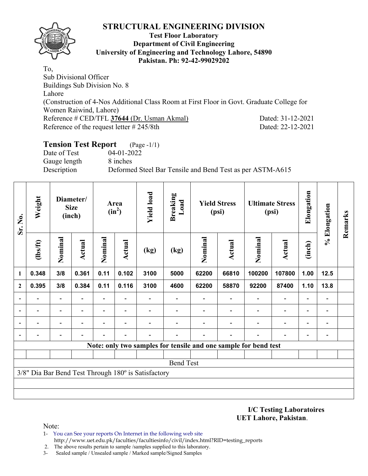

#### **Test Floor Laboratory Department of Civil Engineering University of Engineering and Technology Lahore, 54890 Pakistan. Ph: 92-42-99029202**

To, Sub Divisional Officer Buildings Sub Division No. 8 Lahore (Construction of 4-Nos Additional Class Room at First Floor in Govt. Graduate College for Women Raiwind, Lahore) Reference # CED/TFL **37644** (Dr. Usman Akmal) Dated: 31-12-2021 Reference of the request letter # 245/8th Dated: 22-12-2021

# **Tension Test Report** (Page -1/1)

Date of Test 04-01-2022 Gauge length 8 inches

Description Deformed Steel Bar Tensile and Bend Test as per ASTM-A615

| Sr. No.          | Weight                                              |                          | Diameter/<br><b>Size</b><br>(inch) |                          | Area<br>$(in^2)$         | <b>Yield load</b> | <b>Breaking</b><br>Load | <b>Yield Stress</b><br>(psi) |               | <b>Ultimate Stress</b><br>(psi)                                 |                          | Elongation               | % Elongation                 | Remarks |
|------------------|-----------------------------------------------------|--------------------------|------------------------------------|--------------------------|--------------------------|-------------------|-------------------------|------------------------------|---------------|-----------------------------------------------------------------|--------------------------|--------------------------|------------------------------|---------|
|                  | (1bs/ft)                                            | Nominal                  | Actual                             | Nominal                  | Actual                   | (kg)              | (kg)                    | Nominal                      | <b>Actual</b> | Nominal                                                         | <b>Actual</b>            | (inch)                   |                              |         |
| 1                | 0.348                                               | 3/8                      | 0.361                              | 0.11                     | 0.102                    | 3100              | 5000                    | 62200                        | 66810         | 100200                                                          | 107800                   | 1.00                     | $12.5$                       |         |
| $\mathbf{2}$     | 0.395                                               | 3/8                      | 0.384                              | 0.11                     | 0.116                    | 3100              | 4600                    | 62200                        | 58870         | 92200                                                           | 87400                    | 1.10                     | 13.8                         |         |
|                  |                                                     | $\overline{\phantom{0}}$ |                                    | $\overline{\phantom{0}}$ | $\overline{\phantom{a}}$ |                   |                         |                              |               |                                                                 | $\overline{\phantom{0}}$ |                          | $\qquad \qquad \blacksquare$ |         |
|                  |                                                     | $\overline{\phantom{0}}$ |                                    |                          |                          |                   |                         |                              |               |                                                                 |                          | $\overline{\phantom{0}}$ | $\overline{a}$               |         |
|                  |                                                     | -                        |                                    |                          | $\blacksquare$           |                   |                         |                              |               |                                                                 | $\overline{\phantom{0}}$ | $\overline{\phantom{0}}$ | -                            |         |
|                  |                                                     | -                        |                                    |                          |                          |                   |                         |                              |               |                                                                 | ٠                        | $\overline{\phantom{0}}$ | $\qquad \qquad \blacksquare$ |         |
|                  |                                                     |                          |                                    |                          |                          |                   |                         |                              |               | Note: only two samples for tensile and one sample for bend test |                          |                          |                              |         |
|                  |                                                     |                          |                                    |                          |                          |                   |                         |                              |               |                                                                 |                          |                          |                              |         |
| <b>Bend Test</b> |                                                     |                          |                                    |                          |                          |                   |                         |                              |               |                                                                 |                          |                          |                              |         |
|                  | 3/8" Dia Bar Bend Test Through 180° is Satisfactory |                          |                                    |                          |                          |                   |                         |                              |               |                                                                 |                          |                          |                              |         |
|                  |                                                     |                          |                                    |                          |                          |                   |                         |                              |               |                                                                 |                          |                          |                              |         |
|                  |                                                     |                          |                                    |                          |                          |                   |                         |                              |               |                                                                 |                          |                          |                              |         |

**I/C Testing Laboratoires UET Lahore, Pakistan**.

Note:

1- You can See your reports On Internet in the following web site http://www.uet.edu.pk/faculties/facultiesinfo/civil/index.html?RID=testing\_reports

2. The above results pertain to sample /samples supplied to this laboratory.